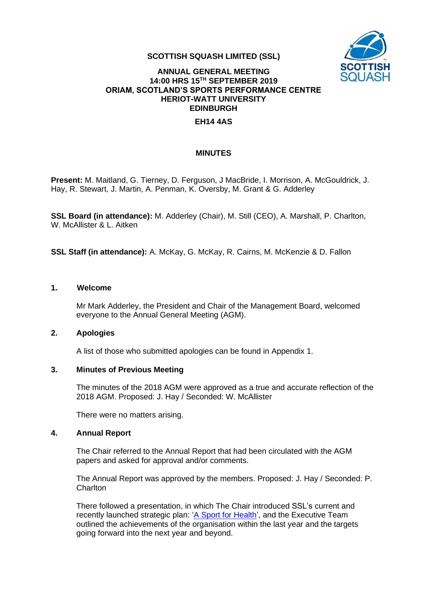

#### **SCOTTISH SQUASH LIMITED (SSL)**

## **ANNUAL GENERAL MEETING 14:00 HRS 15 TH SEPTEMBER 2019 ORIAM, SCOTLAND'S SPORTS PERFORMANCE CENTRE HERIOT-WATT UNIVERSITY EDINBURGH**

## **EH14 4AS**

#### **MINUTES**

**Present:** M. Maitland, G. Tierney, D. Ferguson, J MacBride, I. Morrison, A. McGouldrick, J. Hay, R. Stewart, J. Martin, A. Penman, K. Oversby, M. Grant & G. Adderley

**SSL Board (in attendance):** M. Adderley (Chair), M. Still (CEO), A. Marshall, P. Charlton, W. McAllister & L. Aitken

**SSL Staff (in attendance):** A. McKay, G. McKay, R. Cairns, M. McKenzie & D. Fallon

#### **1. Welcome**

Mr Mark Adderley, the President and Chair of the Management Board, welcomed everyone to the Annual General Meeting (AGM).

#### **2. Apologies**

A list of those who submitted apologies can be found in Appendix 1.

#### **3. Minutes of Previous Meeting**

The minutes of the 2018 AGM were approved as a true and accurate reflection of the 2018 AGM. Proposed: J. Hay / Seconded: W. McAllister

There were no matters arising.

#### **4. Annual Report**

The Chair referred to the Annual Report that had been circulated with the AGM papers and asked for approval and/or comments.

The Annual Report was approved by the members. Proposed: J. Hay / Seconded: P. **Charlton** 

There followed a presentation, in which The Chair introduced SSL's current and recently launched strategic plan: ['A Sport for Health'](https://www.scottishsquash.org/wp-content/uploads/2019/04/ADM01-P02-Scottish-Squash-Strategic-Plan-2019-23-A-Sport-for-Health.pdf), and the Executive Team outlined the achievements of the organisation within the last year and the targets going forward into the next year and beyond.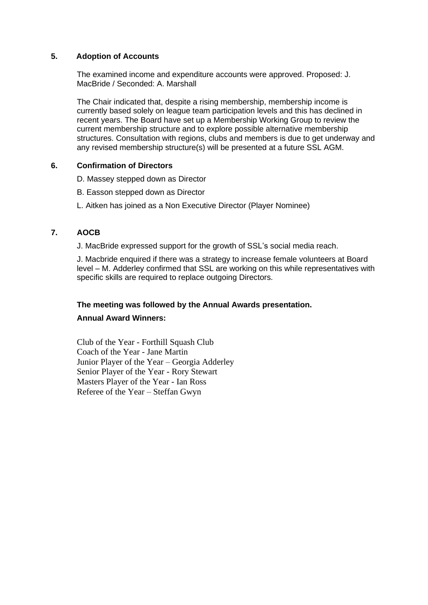## **5. Adoption of Accounts**

The examined income and expenditure accounts were approved. Proposed: J. MacBride / Seconded: A. Marshall

The Chair indicated that, despite a rising membership, membership income is currently based solely on league team participation levels and this has declined in recent years. The Board have set up a Membership Working Group to review the current membership structure and to explore possible alternative membership structures. Consultation with regions, clubs and members is due to get underway and any revised membership structure(s) will be presented at a future SSL AGM.

## **6. Confirmation of Directors**

- D. Massey stepped down as Director
- B. Easson stepped down as Director
- L. Aitken has joined as a Non Executive Director (Player Nominee)

## **7. AOCB**

J. MacBride expressed support for the growth of SSL's social media reach.

J. Macbride enquired if there was a strategy to increase female volunteers at Board level – M. Adderley confirmed that SSL are working on this while representatives with specific skills are required to replace outgoing Directors.

## **The meeting was followed by the Annual Awards presentation.**

## **Annual Award Winners:**

Club of the Year - Forthill Squash Club Coach of the Year - Jane Martin Junior Player of the Year – Georgia Adderley Senior Player of the Year - Rory Stewart Masters Player of the Year - Ian Ross Referee of the Year – Steffan Gwyn